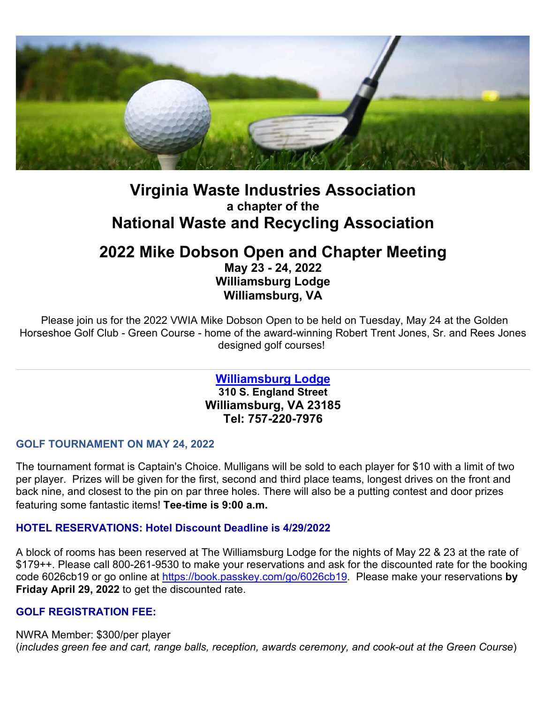

# **Virginia Waste Industries Association a chapter of the National Waste and Recycling Association**

## **2022 Mike Dobson Open and Chapter Meeting May 23 - 24, 2022 Williamsburg Lodge Williamsburg, VA**

Please join us for the 2022 VWIA Mike Dobson Open to be held on Tuesday, May 24 at the Golden Horseshoe Golf Club - Green Course - home of the award-winning Robert Trent Jones, Sr. and Rees Jones designed golf courses!

> **[Williamsburg Lodge](https://cl.exct.net/?qs=53c1f956d5eef7fb0418ed61d84a595d29d80cd5fd5e5fa17adbeb228fb2601d784d21c89e682de607c3fca36eafe22b650344d3cd89798e) 310 S. England Street Williamsburg, VA 23185 Tel: 757-220-7976**

## **GOLF TOURNAMENT ON MAY 24, 2022**

The tournament format is Captain's Choice. Mulligans will be sold to each player for \$10 with a limit of two per player. Prizes will be given for the first, second and third place teams, longest drives on the front and back nine, and closest to the pin on par three holes. There will also be a putting contest and door prizes featuring some fantastic items! **Tee-time is 9:00 a.m.** 

## **HOTEL RESERVATIONS: Hotel Discount Deadline is 4/29/2022**

A block of rooms has been reserved at The Williamsburg Lodge for the nights of May 22 & 23 at the rate of \$179++. Please call 800-261-9530 to make your reservations and ask for the discounted rate for the booking code 6026cb19 or go online at [https://book.passkey.com/go/6026cb19.](https://book.passkey.com/go/6026cb19) Please make your reservations **by Friday April 29, 2022** to get the discounted rate.

## **GOLF REGISTRATION FEE:**

NWRA Member: \$300/per player (*includes green fee and cart, range balls, reception, awards ceremony, and cook-out at the Green Course*)